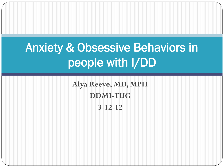# Anxiety & Obsessive Behaviors in people with I/DD

**Alya Reeve, MD, MPH DDMI-TUG 3-12-12**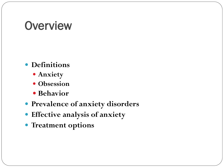### **Overview**

- **Definitions**
	- **Anxiety**
	- **Obsession**
	- **Behavior**
- **Prevalence of anxiety disorders**
- **Effective analysis of anxiety**
- **Treatment options**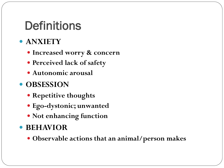## **Definitions**

#### **ANXIETY**

- **Increased worry & concern**
- **Perceived lack of safety**
- **Autonomic arousal**

#### **• OBSESSION**

- **Repetitive thoughts**
- **Ego-dystonic; unwanted**
- **Not enhancing function**

#### **BEHAVIOR**

**Observable actions that an animal/person makes**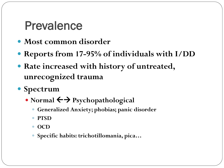### Prevalence

- **Most common disorder**
- **Reports from 17-95% of individuals with I/DD**
- **Rate increased with history of untreated, unrecognized trauma**
- **Spectrum**
	- Normal  $\leftarrow$  **P**sychopathological
		- **Generalized Anxiety; phobias; panic disorder**
		- **PTSD**
		- OCD
		- **Specific habits: trichotillomania, pica…**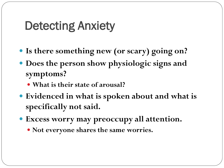## Detecting Anxiety

- **Is there something new (or scary) going on?**
- **Does the person show physiologic signs and symptoms?**
	- **What is their state of arousal?**
- **Evidenced in what is spoken about and what is specifically not said.**
- **Excess worry may preoccupy all attention.**
	- **Not everyone shares the same worries.**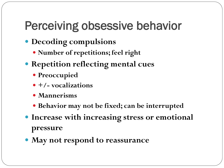## Perceiving obsessive behavior

- **Decoding compulsions**
	- **Number of repetitions; feel right**
- **Repetition reflecting mental cues**
	- **Preoccupied**
	- **+/- vocalizations**
	- **Mannerisms**
	- **Behavior may not be fixed; can be interrupted**
- **Increase with increasing stress or emotional pressure**
- **May not respond to reassurance**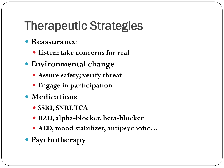# Therapeutic Strategies

- **Reassurance** 
	- **Listen; take concerns for real**
- **Environmental change**
	- **Assure safety; verify threat**
	- **Engage in participation**
- **Medications** 
	- **SSRI, SNRI, TCA**
	- **BZD, alpha-blocker, beta-blocker**
	- **AED, mood stabilizer, antipsychotic…**
- **Psychotherapy**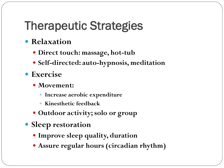## Therapeutic Strategies

- **Relaxation** 
	- **Direct touch: massage, hot-tub**
	- **Self-directed: auto-hypnosis, meditation**
- **Exercise**
	- **Movement:** 
		- **Increase aerobic expenditure**
		- **Kinesthetic feedback**
	- **Outdoor activity; solo or group**
- **Sleep restoration**
	- **Improve sleep quality, duration**
	- **Assure regular hours (circadian rhythm)**